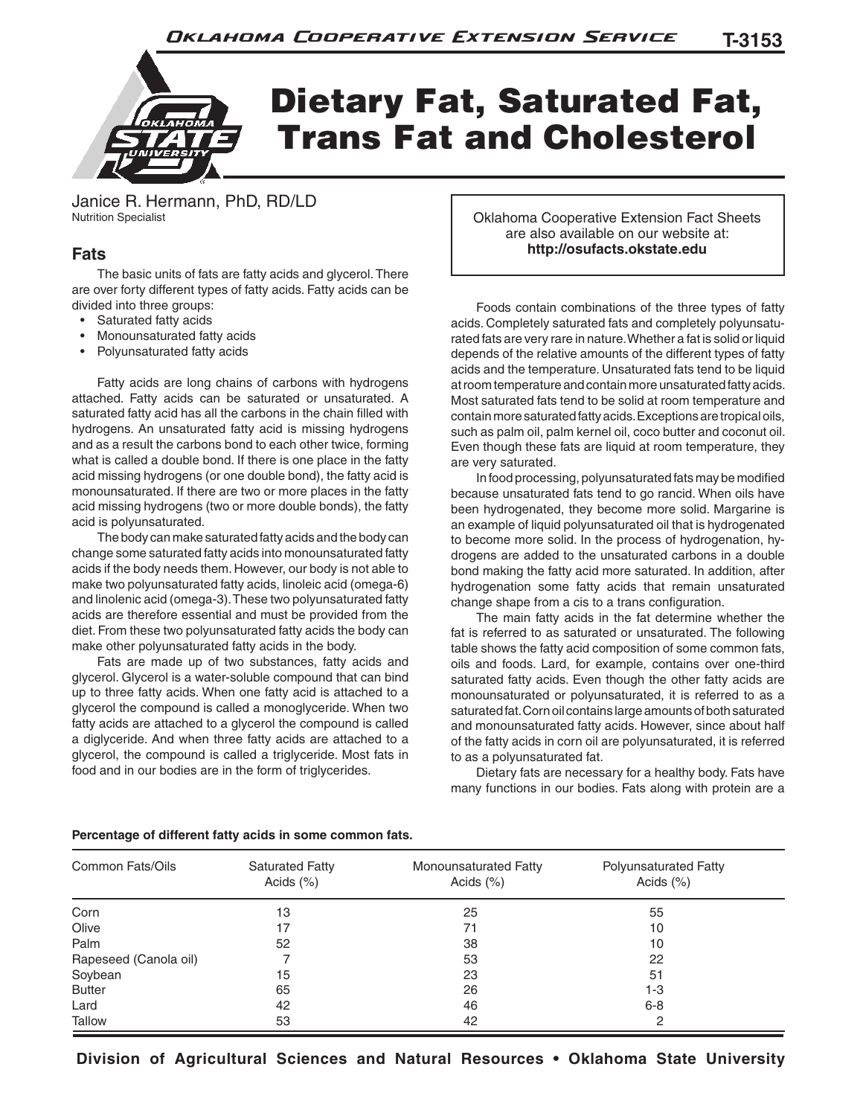

Janice R. Hermann, PhD, RD/LD Nutrition Specialist

## **Fats**

 The basic units of fats are fatty acids and glycerol. There are over forty different types of fatty acids. Fatty acids can be divided into three groups:

- Saturated fatty acids
- Monounsaturated fatty acids
- Polyunsaturated fatty acids

 Fatty acids are long chains of carbons with hydrogens attached. Fatty acids can be saturated or unsaturated. A saturated fatty acid has all the carbons in the chain filled with hydrogens. An unsaturated fatty acid is missing hydrogens and as a result the carbons bond to each other twice, forming what is called a double bond. If there is one place in the fatty acid missing hydrogens (or one double bond), the fatty acid is monounsaturated. If there are two or more places in the fatty acid missing hydrogens (two or more double bonds), the fatty acid is polyunsaturated.

 The body can make saturated fatty acids and the body can change some saturated fatty acids into monounsaturated fatty acids if the body needs them. However, our body is not able to make two polyunsaturated fatty acids, linoleic acid (omega-6) and linolenic acid (omega-3). These two polyunsaturated fatty acids are therefore essential and must be provided from the diet. From these two polyunsaturated fatty acids the body can make other polyunsaturated fatty acids in the body.

 Fats are made up of two substances, fatty acids and glycerol. Glycerol is a water-soluble compound that can bind up to three fatty acids. When one fatty acid is attached to a glycerol the compound is called a monoglyceride. When two fatty acids are attached to a glycerol the compound is called a diglyceride. And when three fatty acids are attached to a glycerol, the compound is called a triglyceride. Most fats in food and in our bodies are in the form of triglycerides.

Oklahoma Cooperative Extension Fact Sheets are also available on our website at: **http://osufacts.okstate.edu**

 Foods contain combinations of the three types of fatty acids. Completely saturated fats and completely polyunsaturated fats are very rare in nature. Whether a fat is solid or liquid depends of the relative amounts of the different types of fatty acids and the temperature. Unsaturated fats tend to be liquid at room temperature and contain more unsaturated fatty acids. Most saturated fats tend to be solid at room temperature and contain more saturated fatty acids. Exceptions are tropical oils, such as palm oil, palm kernel oil, coco butter and coconut oil. Even though these fats are liquid at room temperature, they are very saturated.

 In food processing, polyunsaturated fats may be modified because unsaturated fats tend to go rancid. When oils have been hydrogenated, they become more solid. Margarine is an example of liquid polyunsaturated oil that is hydrogenated to become more solid. In the process of hydrogenation, hydrogens are added to the unsaturated carbons in a double bond making the fatty acid more saturated. In addition, after hydrogenation some fatty acids that remain unsaturated change shape from a cis to a trans configuration.

 The main fatty acids in the fat determine whether the fat is referred to as saturated or unsaturated. The following table shows the fatty acid composition of some common fats, oils and foods. Lard, for example, contains over one-third saturated fatty acids. Even though the other fatty acids are monounsaturated or polyunsaturated, it is referred to as a saturated fat. Corn oil contains large amounts of both saturated and monounsaturated fatty acids. However, since about half of the fatty acids in corn oil are polyunsaturated, it is referred to as a polyunsaturated fat.

 Dietary fats are necessary for a healthy body. Fats have many functions in our bodies. Fats along with protein are a

| Common Fats/Oils      | <b>Saturated Fatty</b><br>Acids $(\%)$ | Monounsaturated Fatty<br>Acids $(\%)$ | Polyunsaturated Fatty<br>Acids $(%)$ |
|-----------------------|----------------------------------------|---------------------------------------|--------------------------------------|
| Corn                  | 13                                     | 25                                    | 55                                   |
| Olive                 | 17                                     | 71                                    | 10                                   |
| Palm                  | 52                                     | 38                                    | 10                                   |
| Rapeseed (Canola oil) |                                        | 53                                    | 22                                   |
| Soybean               | 15                                     | 23                                    | 51                                   |
| <b>Butter</b>         | 65                                     | 26                                    | 1-3                                  |
| Lard                  | 42                                     | 46                                    | $6 - 8$                              |
| Tallow                | 53                                     | 42                                    | 2                                    |

### **Percentage of different fatty acids in some common fats.**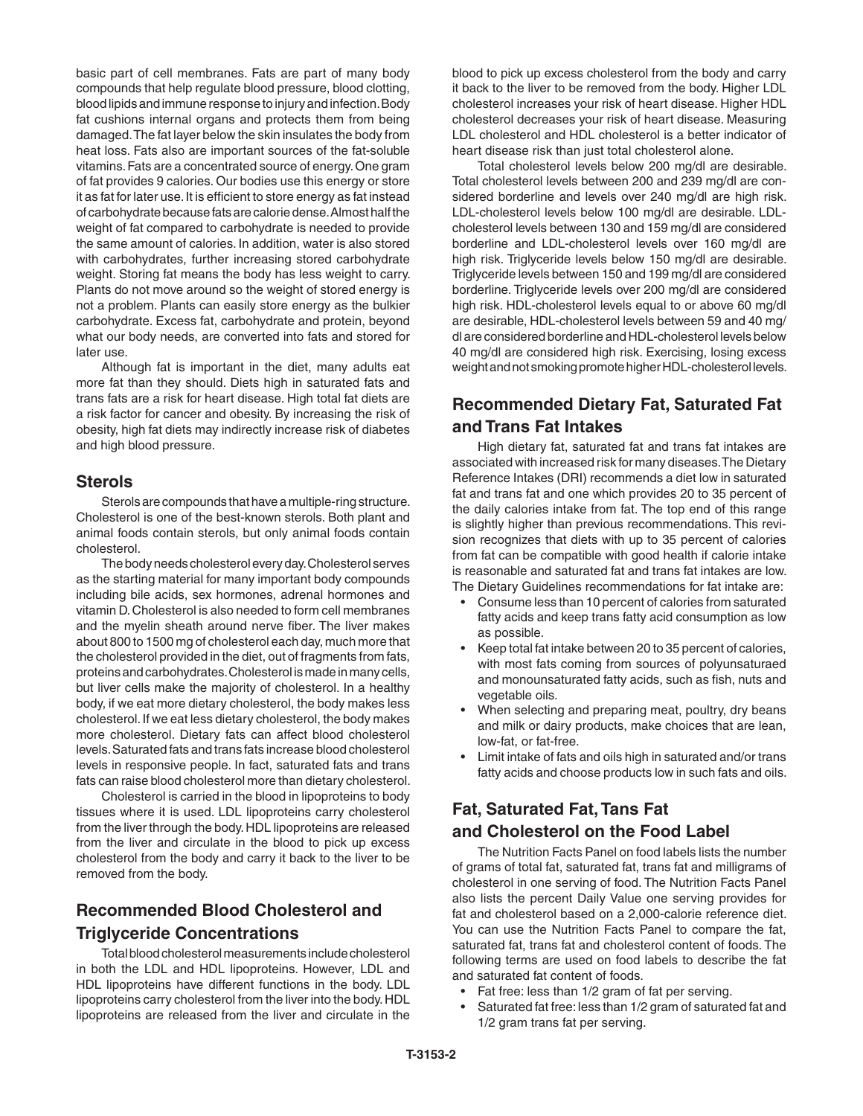basic part of cell membranes. Fats are part of many body compounds that help regulate blood pressure, blood clotting, blood lipids and immune response to injury and infection. Body fat cushions internal organs and protects them from being damaged. The fat layer below the skin insulates the body from heat loss. Fats also are important sources of the fat-soluble vitamins. Fats are a concentrated source of energy. One gram of fat provides 9 calories. Our bodies use this energy or store it as fat for later use. It is efficient to store energy as fat instead of carbohydrate because fats are calorie dense. Almost half the weight of fat compared to carbohydrate is needed to provide the same amount of calories. In addition, water is also stored with carbohydrates, further increasing stored carbohydrate weight. Storing fat means the body has less weight to carry. Plants do not move around so the weight of stored energy is not a problem. Plants can easily store energy as the bulkier carbohydrate. Excess fat, carbohydrate and protein, beyond what our body needs, are converted into fats and stored for later use.

 Although fat is important in the diet, many adults eat more fat than they should. Diets high in saturated fats and trans fats are a risk for heart disease. High total fat diets are a risk factor for cancer and obesity. By increasing the risk of obesity, high fat diets may indirectly increase risk of diabetes and high blood pressure.

### **Sterols**

 Sterols are compounds that have a multiple-ring structure. Cholesterol is one of the best-known sterols. Both plant and animal foods contain sterols, but only animal foods contain cholesterol.

 The body needs cholesterol every day. Cholesterol serves as the starting material for many important body compounds including bile acids, sex hormones, adrenal hormones and vitamin D. Cholesterol is also needed to form cell membranes and the myelin sheath around nerve fiber. The liver makes about 800 to 1500 mg of cholesterol each day, much more that the cholesterol provided in the diet, out of fragments from fats, proteins and carbohydrates. Cholesterol is made in many cells, but liver cells make the majority of cholesterol. In a healthy body, if we eat more dietary cholesterol, the body makes less cholesterol. If we eat less dietary cholesterol, the body makes more cholesterol. Dietary fats can affect blood cholesterol levels. Saturated fats and trans fats increase blood cholesterol levels in responsive people. In fact, saturated fats and trans fats can raise blood cholesterol more than dietary cholesterol.

 Cholesterol is carried in the blood in lipoproteins to body tissues where it is used. LDL lipoproteins carry cholesterol from the liver through the body. HDL lipoproteins are released from the liver and circulate in the blood to pick up excess cholesterol from the body and carry it back to the liver to be removed from the body.

## **Recommended Blood Cholesterol and Triglyceride Concentrations**

 Total blood cholesterol measurements include cholesterol in both the LDL and HDL lipoproteins. However, LDL and HDL lipoproteins have different functions in the body. LDL lipoproteins carry cholesterol from the liver into the body. HDL lipoproteins are released from the liver and circulate in the

blood to pick up excess cholesterol from the body and carry it back to the liver to be removed from the body. Higher LDL cholesterol increases your risk of heart disease. Higher HDL cholesterol decreases your risk of heart disease. Measuring LDL cholesterol and HDL cholesterol is a better indicator of heart disease risk than just total cholesterol alone.

 Total cholesterol levels below 200 mg/dl are desirable. Total cholesterol levels between 200 and 239 mg/dl are considered borderline and levels over 240 mg/dl are high risk. LDL-cholesterol levels below 100 mg/dl are desirable. LDLcholesterol levels between 130 and 159 mg/dl are considered borderline and LDL-cholesterol levels over 160 mg/dl are high risk. Triglyceride levels below 150 mg/dl are desirable. Triglyceride levels between 150 and 199 mg/dl are considered borderline. Triglyceride levels over 200 mg/dl are considered high risk. HDL-cholesterol levels equal to or above 60 mg/dl are desirable, HDL-cholesterol levels between 59 and 40 mg/ dl are considered borderline and HDL-cholesterol levels below 40 mg/dl are considered high risk. Exercising, losing excess weight and not smoking promote higher HDL-cholesterol levels.

# **Recommended Dietary Fat, Saturated Fat and Trans Fat Intakes**

 High dietary fat, saturated fat and trans fat intakes are associated with increased risk for many diseases. The Dietary Reference Intakes (DRI) recommends a diet low in saturated fat and trans fat and one which provides 20 to 35 percent of the daily calories intake from fat. The top end of this range is slightly higher than previous recommendations. This revision recognizes that diets with up to 35 percent of calories from fat can be compatible with good health if calorie intake is reasonable and saturated fat and trans fat intakes are low. The Dietary Guidelines recommendations for fat intake are:

- Consume less than 10 percent of calories from saturated fatty acids and keep trans fatty acid consumption as low as possible.
- Keep total fat intake between 20 to 35 percent of calories, with most fats coming from sources of polyunsaturaed and monounsaturated fatty acids, such as fish, nuts and vegetable oils.
- When selecting and preparing meat, poultry, dry beans and milk or dairy products, make choices that are lean, low-fat, or fat-free.
- Limit intake of fats and oils high in saturated and/or trans fatty acids and choose products low in such fats and oils.

# **Fat, Saturated Fat, Tans Fat and Cholesterol on the Food Label**

 The Nutrition Facts Panel on food labels lists the number of grams of total fat, saturated fat, trans fat and milligrams of cholesterol in one serving of food. The Nutrition Facts Panel also lists the percent Daily Value one serving provides for fat and cholesterol based on a 2,000-calorie reference diet. You can use the Nutrition Facts Panel to compare the fat, saturated fat, trans fat and cholesterol content of foods. The following terms are used on food labels to describe the fat and saturated fat content of foods.

- Fat free: less than 1/2 gram of fat per serving.
- Saturated fat free: less than 1/2 gram of saturated fat and 1/2 gram trans fat per serving.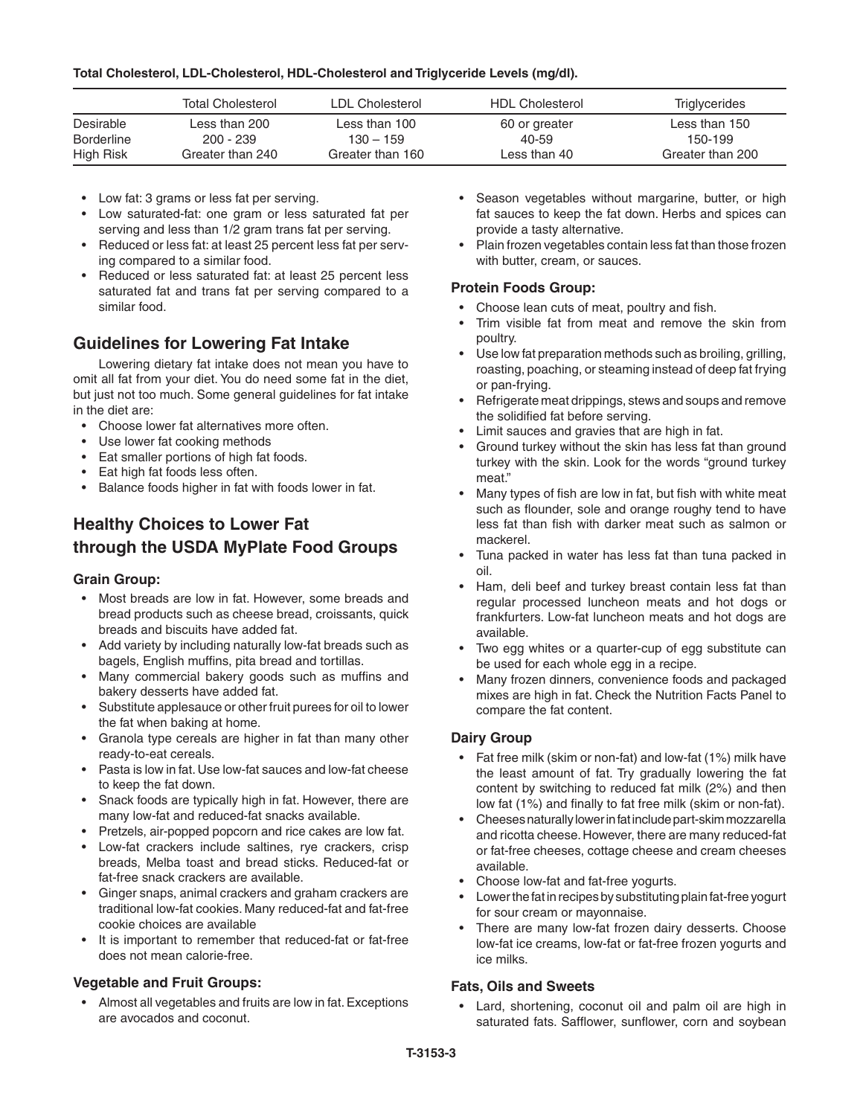#### **Total Cholesterol, LDL-Cholesterol, HDL-Cholesterol and Triglyceride Levels (mg/dl).**

|                   | <b>Total Cholesterol</b> | LDL Cholesterol  | <b>HDL Cholesterol</b> | <b>Triglycerides</b> |
|-------------------|--------------------------|------------------|------------------------|----------------------|
| Desirable         | Less than 200            | Less than 100    | 60 or greater          | Less than 150        |
| <b>Borderline</b> | $200 - 239$              | $130 - 159$      | 40-59                  | 150-199              |
| High Risk         | Greater than 240         | Greater than 160 | Less than 40           | Greater than 200     |

- Low fat: 3 grams or less fat per serving.
- Low saturated-fat: one gram or less saturated fat per serving and less than 1/2 gram trans fat per serving.
- Reduced or less fat: at least 25 percent less fat per serving compared to a similar food.
- Reduced or less saturated fat: at least 25 percent less saturated fat and trans fat per serving compared to a similar food.

## **Guidelines for Lowering Fat Intake**

 Lowering dietary fat intake does not mean you have to omit all fat from your diet. You do need some fat in the diet, but just not too much. Some general guidelines for fat intake in the diet are:

- Choose lower fat alternatives more often.
- Use lower fat cooking methods
- Eat smaller portions of high fat foods.
- Eat high fat foods less often.
- Balance foods higher in fat with foods lower in fat.

# **Healthy Choices to Lower Fat through the USDA MyPlate Food Groups**

### **Grain Group:**

- Most breads are low in fat. However, some breads and bread products such as cheese bread, croissants, quick breads and biscuits have added fat.
- Add variety by including naturally low-fat breads such as bagels, English muffins, pita bread and tortillas.
- Many commercial bakery goods such as muffins and bakery desserts have added fat.
- Substitute applesauce or other fruit purees for oil to lower the fat when baking at home.
- Granola type cereals are higher in fat than many other ready-to-eat cereals.
- Pasta is low in fat. Use low-fat sauces and low-fat cheese to keep the fat down.
- Snack foods are typically high in fat. However, there are many low-fat and reduced-fat snacks available.
- Pretzels, air-popped popcorn and rice cakes are low fat.
- Low-fat crackers include saltines, rye crackers, crisp breads, Melba toast and bread sticks. Reduced-fat or fat-free snack crackers are available.
- Ginger snaps, animal crackers and graham crackers are traditional low-fat cookies. Many reduced-fat and fat-free cookie choices are available
- It is important to remember that reduced-fat or fat-free does not mean calorie-free.

### **Vegetable and Fruit Groups:**

• Almost all vegetables and fruits are low in fat. Exceptions are avocados and coconut.

- Season vegetables without margarine, butter, or high fat sauces to keep the fat down. Herbs and spices can provide a tasty alternative.
- Plain frozen vegetables contain less fat than those frozen with butter, cream, or sauces.

### **Protein Foods Group:**

- Choose lean cuts of meat, poultry and fish.
- Trim visible fat from meat and remove the skin from poultry.
- Use low fat preparation methods such as broiling, grilling, roasting, poaching, or steaming instead of deep fat frying or pan-frying.
- Refrigerate meat drippings, stews and soups and remove the solidified fat before serving.
- Limit sauces and gravies that are high in fat.
- Ground turkey without the skin has less fat than ground turkey with the skin. Look for the words "ground turkey meat."
- Many types of fish are low in fat, but fish with white meat such as flounder, sole and orange roughy tend to have less fat than fish with darker meat such as salmon or mackerel.
- Tuna packed in water has less fat than tuna packed in oil.
- Ham, deli beef and turkey breast contain less fat than regular processed luncheon meats and hot dogs or frankfurters. Low-fat luncheon meats and hot dogs are available.
- Two egg whites or a quarter-cup of egg substitute can be used for each whole egg in a recipe.
- Many frozen dinners, convenience foods and packaged mixes are high in fat. Check the Nutrition Facts Panel to compare the fat content.

### **Dairy Group**

- Fat free milk (skim or non-fat) and low-fat (1%) milk have the least amount of fat. Try gradually lowering the fat content by switching to reduced fat milk (2%) and then low fat (1%) and finally to fat free milk (skim or non-fat).
- Cheeses naturally lower in fat include part-skim mozzarella and ricotta cheese. However, there are many reduced-fat or fat-free cheeses, cottage cheese and cream cheeses available.
- Choose low-fat and fat-free yogurts.
- Lower the fat in recipes by substituting plain fat-free yogurt for sour cream or mayonnaise.
- There are many low-fat frozen dairy desserts. Choose low-fat ice creams, low-fat or fat-free frozen yogurts and ice milks.

### **Fats, Oils and Sweets**

• Lard, shortening, coconut oil and palm oil are high in saturated fats. Safflower, sunflower, corn and soybean